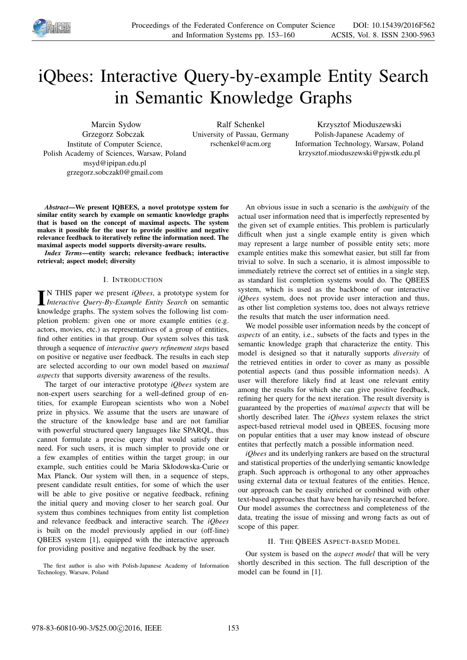

# iQbees: Interactive Query-by-example Entity Search in Semantic Knowledge Graphs

Marcin Sydow Grzegorz Sobczak Institute of Computer Science, Polish Academy of Sciences, Warsaw, Poland msyd@ipipan.edu.pl grzegorz.sobczak0@gmail.com

Ralf Schenkel University of Passau, Germany rschenkel@acm.org

Krzysztof Mioduszewski Polish-Japanese Academy of Information Technology, Warsaw, Poland krzysztof.mioduszewski@pjwstk.edu.pl

*Abstract*—We present IQBEES, a novel prototype system for similar entity search by example on semantic knowledge graphs that is based on the concept of maximal aspects. The system makes it possible for the user to provide positive and negative relevance feedback to iteratively refine the information need. The maximal aspects model supports diversity-aware results.

*Index Terms*—entity search; relevance feedback; interactive retrieval; aspect model; diversity

## I. INTRODUCTION

**IN THIS paper we present** *iQbees*, a prototype system for *Interactive Query-By-Example Entity Search* on semantic N THIS paper we present *iQbees*, a prototype system for knowledge graphs. The system solves the following list completion problem: given one or more example entities (e.g. actors, movies, etc.) as representatives of a group of entities, find other entities in that group. Our system solves this task through a sequence of *interactive query refinement steps* based on positive or negative user feedback. The results in each step are selected according to our own model based on *maximal aspects* that supports diversity awareness of the results.

The target of our interactive prototype *iQbees* system are non-expert users searching for a well-defined group of entities, for example European scientists who won a Nobel prize in physics. We assume that the users are unaware of the structure of the knowledge base and are not familiar with powerful structured query languages like SPARQL, thus cannot formulate a precise query that would satisfy their need. For such users, it is much simpler to provide one or a few examples of entities within the target group; in our example, such entities could be Maria Skłodowska-Curie or Max Planck. Our system will then, in a sequence of steps, present candidate result entities, for some of which the user will be able to give positive or negative feedback, refining the initial query and moving closer to her search goal. Our system thus combines techniques from entity list completion and relevance feedback and interactive search. The *iQbees* is built on the model previously applied in our (off-line) QBEES system [1], equipped with the interactive approach for providing positive and negative feedback by the user.

The first author is also with Polish-Japanese Academy of Information Technology, Warsaw, Poland

An obvious issue in such a scenario is the *ambiguity* of the actual user information need that is imperfectly represented by the given set of example entities. This problem is particularly difficult when just a single example entity is given which may represent a large number of possible entity sets; more example entities make this somewhat easier, but still far from trivial to solve. In such a scenario, it is almost impossible to immediately retrieve the correct set of entities in a single step, as standard list completion systems would do. The QBEES system, which is used as the backbone of our interactive *iQbees* system, does not provide user interaction and thus, as other list completion systems too, does not always retrieve the results that match the user information need.

We model possible user information needs by the concept of *aspects* of an entity, i.e., subsets of the facts and types in the semantic knowledge graph that characterize the entity. This model is designed so that it naturally supports *diversity* of the retrieved entities in order to cover as many as possible potential aspects (and thus possible information needs). A user will therefore likely find at least one relevant entity among the results for which she can give positive feedback, refining her query for the next iteration. The result diversity is guaranteed by the properties of *maximal aspects* that will be shortly described later. The *iQbees* system relaxes the strict aspect-based retrieval model used in QBEES, focusing more on popular entities that a user may know instead of obscure entites that perfectly match a possible information need.

*iQbees* and its underlying rankers are based on the structural and statistical properties of the underlying semantic knowledge graph. Such approach is orthogonal to any other approaches using external data or textual features of the entities. Hence, our approach can be easily enriched or combined with other text-based approaches that have been havily researched before. Our model assumes the correctness and completeness of the data, treating the issue of missing and wrong facts as out of scope of this paper.

# II. THE QBEES ASPECT-BASED MODEL

Our system is based on the *aspect model* that will be very shortly described in this section. The full description of the model can be found in [1].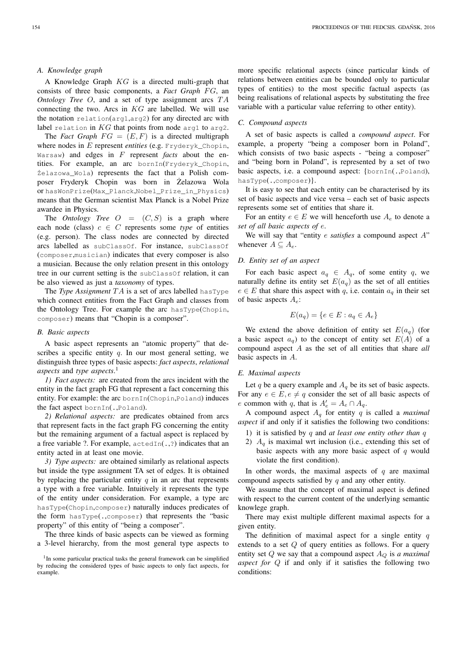### *A. Knowledge graph*

A Knowledge Graph KG is a directed multi-graph that consists of three basic components, a *Fact Graph FG*, an *Ontology Tree O*, and a set of type assignment arcs TA connecting the two. Arcs in  $KG$  are labelled. We will use the notation relation(arg1,arg2) for any directed arc with label relation in  $KG$  that points from node arg1 to arg2.

The *Fact Graph*  $FG = (E, F)$  is a directed multigraph where nodes in E represent *entities* (e.g. Fryderyk\_Chopin, Warsaw) and edges in F represent *facts* about the entities. For example, an arc bornIn(Fryderyk\_Chopin, ˙Zelazowa\_Wola) represents the fact that a Polish composer Fryderyk Chopin was born in Żelazowa Wola or hasWonPrize(Max\_Planck,Nobel\_Prize\_in\_Physics) means that the German scientist Max Planck is a Nobel Prize awardee in Physics.

The *Ontology Tree*  $O = (C, S)$  is a graph where each node (class)  $c \in C$  represents some *type* of entities (e.g. person). The class nodes are connected by directed arcs labelled as subClassOf. For instance, subClassOf (composer,musician) indicates that every composer is also a musician. Because the only relation present in this ontology tree in our current setting is the subClassOf relation, it can be also viewed as just a *taxonomy* of types.

The *Type Assignment*  $TA$  is a set of arcs labelled has Type which connect entities from the Fact Graph and classes from the Ontology Tree. For example the arc hasType(Chopin, composer) means that "Chopin is a composer".

#### *B. Basic aspects*

A basic aspect represents an "atomic property" that describes a specific entity  $q$ . In our most general setting, we distinguish three types of basic aspects: *fact aspects*, *relational aspects* and *type aspects*. 1

*1) Fact aspects:* are created from the arcs incident with the entity in the fact graph FG that represent a fact concerning this entity. For example: the arc bornIn(Chopin,Poland) induces the fact aspect bornIn(.,Poland).

*2) Relational aspects:* are predicates obtained from arcs that represent facts in the fact graph FG concerning the entity but the remaining argument of a factual aspect is replaced by a free variable ?. For example,  $\text{actedIn}(.,?)$  indicates that an entity acted in at least one movie.

*3) Type aspects:* are obtained similarly as relational aspects but inside the type assignment TA set of edges. It is obtained by replacing the particular entity  $q$  in an arc that represents a type with a free variable. Intuitively it represents the type of the entity under consideration. For example, a type arc hasType(Chopin,composer) naturally induces predicates of the form hasType(.,composer) that represents the "basic property" of this entity of "being a composer".

The three kinds of basic aspects can be viewed as forming a 3-level hierarchy, from the most general type aspects to more specific relational aspects (since particular kinds of relations between entities can be bounded only to particular types of entities) to the most specific factual aspects (as being realisations of relational aspects by substituting the free variable with a particular value referring to other entity).

## *C. Compound aspects*

A set of basic aspects is called a *compound aspect*. For example, a property "being a composer born in Poland", which consists of two basic aspects - "being a composer" and "being born in Poland", is represented by a set of two basic aspects, i.e. a compound aspect: {bornIn(.,Poland), hasType(.,composer)}.

It is easy to see that each entity can be characterised by its set of basic aspects and vice versa – each set of basic aspects represents some set of entities that share it.

For an entity  $e \in E$  we will henceforth use  $A_e$  to denote a *set of all basic aspects of* e.

We will say that "entity e *satisfies* a compound aspect A" whenever  $A \subseteq A_e$ .

# *D. Entity set of an aspect*

For each basic aspect  $a_q \in A_q$ , of some entity q, we naturally define its entity set  $E(a_q)$  as the set of all entities  $e \in E$  that share this aspect with q, i.e. contain  $a_q$  in their set of basic aspects  $A_e$ :

$$
E(a_q) = \{e \in E : a_q \in A_e\}
$$

We extend the above definition of entity set  $E(a_q)$  (for a basic aspect  $a_q$ ) to the concept of entity set  $E(A)$  of a compound aspect A as the set of all entities that share *all* basic aspects in A.

#### *E. Maximal aspects*

Let q be a query example and  $A_q$  be its set of basic aspects. For any  $e \in E, e \neq q$  consider the set of all basic aspects of e common with q, that is  $A'_e = A_e \cap A_q$ .

A compound aspect  $A_q$  for entity  $q$  is called a *maximal aspect* if and only if it satisfies the following two conditions:

- 1) it is satisfied by q and *at least one entity other than* q
- 2)  $A_q$  is maximal wrt inclusion (i.e., extending this set of basic aspects with any more basic aspect of  $q$  would violate the first condition).

In other words, the maximal aspects of  $q$  are maximal compound aspects satisfied by  $q$  and any other entity.

We assume that the concept of maximal aspect is defined with respect to the current content of the underlying semantic knowlege graph.

There may exist multiple different maximal aspects for a given entity.

The definition of maximal aspect for a single entity  $q$ extends to a set  $Q$  of query entities as follows. For a query entity set  $Q$  we say that a compound aspect  $A_Q$  is *a maximal aspect for* Q if and only if it satisfies the following two conditions:

<sup>&</sup>lt;sup>1</sup>In some particular practical tasks the general framework can be simplified by reducing the considered types of basic aspects to only fact aspects, for example.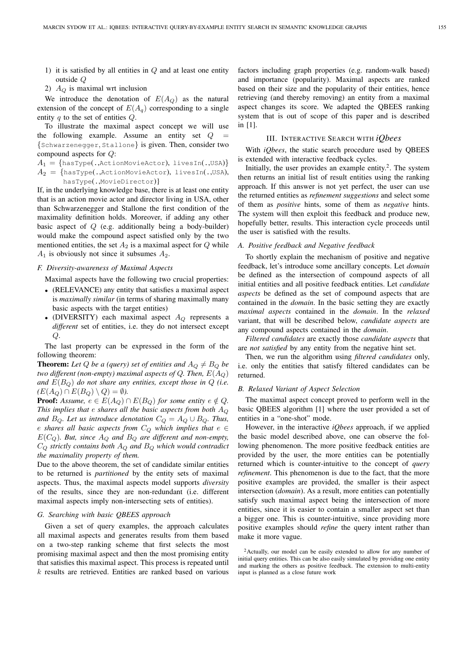- 1) it is satisfied by all entities in  $Q$  and at least one entity outside Q
- 2)  $A_Q$  is maximal wrt inclusion

We introduce the denotation of  $E(A<sub>O</sub>)$  as the natural extension of the concept of  $E(A_q)$  corresponding to a single entity  $q$  to the set of entities  $Q$ .

To illustrate the maximal aspect concept we will use the following example. Assume an entity set  $Q$ {Schwarzenegger, Stallone} is given. Then, consider two compound aspects for Q:

 $A_1 = \{$ hasType(.,ActionMovieActor), livesIn(.,USA)}  $A_2 = \{$ hasType(.,ActionMovieActor), livesIn(.,USA), hasType(.,MovieDirector)}

If, in the underlying knowledge base, there is at least one entity that is an action movie actor and director living in USA, other than Schwarzenegger and Stallone the first condition of the maximality definition holds. Moreover, if adding any other basic aspect of Q (e.g. additionally being a body-builder) would make the compound aspect satisfied only by the two mentioned entities, the set  $A_2$  is a maximal aspect for  $Q$  while  $A_1$  is obviously not since it subsumes  $A_2$ .

#### *F. Diversity-awareness of Maximal Aspects*

Maximal aspects have the following two crucial properties:

- (RELEVANCE) any entity that satisfies a maximal aspect is *maximally similar* (in terms of sharing maximally many basic aspects with the target entities)
- (DIVERSITY) each maximal aspect  $A_Q$  represents a *different* set of entities, i.e. they do not intersect except  $Q$ .

The last property can be expressed in the form of the following theorem:

**Theorem:** Let Q be a (query) set of entities and  $A_Q \neq B_Q$  be *two different (non-empty) maximal aspects of Q. Then,*  $E(A_O)$ *and*  $E(B<sub>O</sub>)$  *do not share any entities, except those in*  $Q$  *(i.e.*)  $(E(A_O) \cap E(B_O) \setminus Q) = \emptyset$ *).* 

**Proof:** Assume,  $e \in E(A_Q) \cap E(B_Q)$  *for some entity*  $e \notin Q$ . *This implies that* e *shares all the basic aspects from both* A<sup>Q</sup> *and*  $B_Q$ *. Let us introduce denotation*  $C_Q = A_Q \cup B_Q$ *. Thus,* e shares all basic aspects from  $C_Q$  which implies that  $e \in$  $E(C_Q)$ *. But, since*  $A_Q$  *and*  $B_Q$  *are different and non-empty,* C<sup>Q</sup> *strictly contains both* A<sup>Q</sup> *and* B<sup>Q</sup> *which would contradict the maximality property of them.*

Due to the above theorem, the set of candidate similar entities to be returned is *partitioned* by the entity sets of maximal aspects. Thus, the maximal aspects model supports *diversity* of the results, since they are non-redundant (i.e. different maximal aspects imply non-intersecting sets of entities).

# *G. Searching with basic QBEES approach*

Given a set of query examples, the approach calculates all maximal aspects and generates results from them based on a two-step ranking scheme that first selects the most promising maximal aspect and then the most promising entity that satisfies this maximal aspect. This process is repeated until  $k$  results are retrieved. Entities are ranked based on various factors including graph properties (e.g. random-walk based) and importance (popularity). Maximal aspects are ranked based on their size and the popularity of their entities, hence retrieving (and thereby removing) an entity from a maximal aspect changes its score. We adapted the QBEES ranking system that is out of scope of this paper and is described in [1].

#### III. INTERACTIVE SEARCH WITH *iQbees*

With *iQbees*, the static search procedure used by QBEES is extended with interactive feedback cycles.

Initially, the user provides an example entity.<sup>2</sup>. The system then returns an initial list of result entities using the ranking approach. If this answer is not yet perfect, the user can use the returned entities as *refinement suggestions* and select some of them as *positive* hints, some of them as *negative* hints. The system will then exploit this feedback and produce new, hopefully better, results. This interaction cycle proceeds until the user is satisfied with the results.

## *A. Positive feedback and Negative feedback*

To shortly explain the mechanism of positive and negative feedback, let's introduce some ancillary concepts. Let *domain* be defined as the intersection of compound aspects of all initial entities and all positive feedback entities. Let *candidate aspects* be defined as the set of compound aspects that are contained in the *domain*. In the basic setting they are exactly *maximal aspects* contained in the *domain*. In the *relaxed* variant, that will be described below, *candidate aspects* are any compound aspects contained in the *domain*.

*Filtered candidates* are exactly those *candidate aspects* that are *not satisfied* by any entity from the negative hint set.

Then, we run the algorithm using *filtered candidates* only, i.e. only the entities that satisfy filtered candidates can be returned.

# *B. Relaxed Variant of Aspect Selection*

The maximal aspect concept proved to perform well in the basic QBEES algorithm [1] where the user provided a set of entities in a "one-shot" mode.

However, in the interactive *iQbees* approach, if we applied the basic model described above, one can observe the following phenomenon. The more positive feedback entities are provided by the user, the more entities can be potentially returned which is counter-intuitive to the concept of *query refinement*. This phenomenon is due to the fact, that the more positive examples are provided, the smaller is their aspect intersection (*domain*). As a result, more entities can potentially satisfy such maximal aspect being the intersection of more entities, since it is easier to contain a smaller aspect set than a bigger one. This is counter-intuitive, since providing more positive examples should *refine* the query intent rather than make it more vague.

<sup>2</sup>Actually, our model can be easily extended to allow for any number of initial query entities. This can be also easily simulated by providing one entity and marking the others as positive feedback. The extension to multi-entity input is planned as a close future work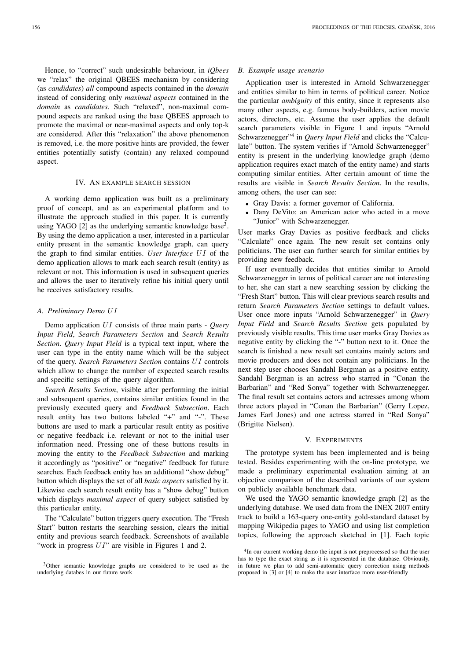Hence, to "correct" such undesirable behaviour, in *iQbees* we "relax" the original QBEES mechanism by considering (as *candidates*) *all* compound aspects contained in the *domain* instead of considering only *maximal aspects* contained in the *domain* as *candidates*. Such "relaxed", non-maximal compound aspects are ranked using the base QBEES approach to promote the maximal or near-maximal aspects and only top-k are considered. After this "relaxation" the above phenomenon is removed, i.e. the more positive hints are provided, the fewer entities potentially satisfy (contain) any relaxed compound aspect.

#### IV. AN EXAMPLE SEARCH SESSION

A working demo application was built as a preliminary proof of concept, and as an experimental platform and to illustrate the approach studied in this paper. It is currently using YAGO [2] as the underlying semantic knowledge base<sup>3</sup>. By using the demo application a user, interested in a particular entity present in the semantic knowledge graph, can query the graph to find similar entities. *User Interface UI* of the demo application allows to mark each search result (entity) as relevant or not. This information is used in subsequent queries and allows the user to iteratively refine his initial query until he receives satisfactory results.

## *A. Preliminary Demo* U I

Demo application UI consists of three main parts - *Query Input Field*, *Search Parameters Section* and *Search Results Section*. *Query Input Field* is a typical text input, where the user can type in the entity name which will be the subject of the query. *Search Parameters Section* contains  $UI$  controls which allow to change the number of expected search results and specific settings of the query algorithm.

*Search Results Section*, visible after performing the initial and subsequent queries, contains similar entities found in the previously executed query and *Feedback Subsection*. Each result entity has two buttons labeled "+" and "-". These buttons are used to mark a particular result entity as positive or negative feedback i.e. relevant or not to the initial user information need. Pressing one of these buttons results in moving the entity to the *Feedback Subsection* and marking it accordingly as "positive" or "negative" feedback for future searches. Each feedback entity has an additional "show debug" button which displays the set of all *basic aspects* satisfied by it. Likewise each search result entity has a "show debug" button which displays *maximal aspect* of query subject satisfied by this particular entity.

The "Calculate" button triggers query execution. The "Fresh Start" button restarts the searching session, clears the initial entity and previous search feedback. Screenshots of available "work in progress  $UI$ " are visible in Figures 1 and 2.

## *B. Example usage scenario*

Application user is interested in Arnold Schwarzenegger and entities similar to him in terms of political career. Notice the particular *ambiguity* of this entity, since it represents also many other aspects, e.g. famous body-builders, action movie actors, directors, etc. Assume the user applies the default search parameters visible in Figure 1 and inputs "Arnold Schwarzenegger"<sup>4</sup> in *Query Input Field* and clicks the "Calculate" button. The system verifies if "Arnold Schwarzenegger" entity is present in the underlying knowledge graph (demo application requires exact match of the entity name) and starts computing similar entities. After certain amount of time the results are visible in *Search Results Section*. In the results, among others, the user can see:

- Gray Davis: a former governor of California.
- Dany DeVito: an American actor who acted in a move "Junior" with Schwarzenegger.

User marks Gray Davies as positive feedback and clicks "Calculate" once again. The new result set contains only politicians. The user can further search for similar entities by providing new feedback.

If user eventually decides that entities similar to Arnold Schwarzenegger in terms of political career are not interesting to her, she can start a new searching session by clicking the "Fresh Start" button. This will clear previous search results and return *Search Parameters Section* settings to default values. User once more inputs "Arnold Schwarzenegger" in *Query Input Field* and *Search Results Section* gets populated by previously visible results. This time user marks Gray Davies as negative entity by clicking the "-" button next to it. Once the search is finished a new result set contains mainly actors and movie producers and does not contain any politicians. In the next step user chooses Sandahl Bergman as a positive entity. Sandahl Bergman is an actress who starred in "Conan the Barbarian" and "Red Sonya" together with Schwarzenegger. The final result set contains actors and actresses among whom three actors played in "Conan the Barbarian" (Gerry Lopez, James Earl Jones) and one actress starred in "Red Sonya" (Brigitte Nielsen).

## V. EXPERIMENTS

The prototype system has been implemented and is being tested. Besides experimenting with the on-line prototype, we made a preliminary experimental evaluation aiming at an objective comparison of the described variants of our system on publicly available benchmark data.

We used the YAGO semantic knowledge graph [2] as the underlying database. We used data from the INEX 2007 entity track to build a 163-query one-entity gold-standard dataset by mapping Wikipedia pages to YAGO and using list completion topics, following the approach sketched in [1]. Each topic

<sup>&</sup>lt;sup>3</sup>Other semantic knowledge graphs are considered to be used as the underlying databes in our future work

<sup>&</sup>lt;sup>4</sup>In our current working demo the input is not preprocessed so that the user has to type the exact string as it is represented in the database. Obviously, in future we plan to add semi-automatic query correction using methods proposed in [3] or [4] to make the user interface more user-friendly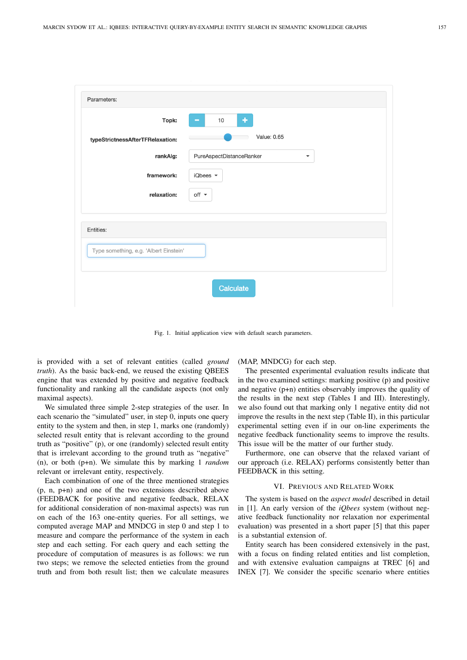| Parameters:                            |                                                  |
|----------------------------------------|--------------------------------------------------|
| Topk:                                  | ٠<br>10<br>▄                                     |
| typeStrictnessAfterTFRelaxation:       | Value: 0.65                                      |
| rankAlg:                               | PureAspectDistanceRanker<br>$\blacktriangledown$ |
| framework:                             | iQbees $\blacktriangledown$                      |
| relaxation:                            | off $\sim$                                       |
|                                        |                                                  |
| Entities:                              |                                                  |
| Type something, e.g. 'Albert Einstein' |                                                  |
|                                        |                                                  |
|                                        | Calculate                                        |
|                                        |                                                  |

Fig. 1. Initial application view with default search parameters.

is provided with a set of relevant entities (called *ground truth*). As the basic back-end, we reused the existing QBEES engine that was extended by positive and negative feedback functionality and ranking all the candidate aspects (not only maximal aspects).

We simulated three simple 2-step strategies of the user. In each scenario the "simulated" user, in step 0, inputs one query entity to the system and then, in step 1, marks one (randomly) selected result entity that is relevant according to the ground truth as "positive" (p), or one (randomly) selected result entity that is irrelevant according to the ground truth as "negative" (n), or both (p+n). We simulate this by marking 1 *random* relevant or irrelevant entity, respectively.

Each combination of one of the three mentioned strategies (p, n, p+n) and one of the two extensions described above (FEEDBACK for positive and negative feedback, RELAX for additional consideration of non-maximal aspects) was run on each of the 163 one-entity queries. For all settings, we computed average MAP and MNDCG in step 0 and step 1 to measure and compare the performance of the system in each step and each setting. For each query and each setting the procedure of computation of measures is as follows: we run two steps; we remove the selected entieties from the ground truth and from both result list; then we calculate measures

(MAP, MNDCG) for each step.

The presented experimental evaluation results indicate that in the two examined settings: marking positive (p) and positive and negative (p+n) entities observably improves the quality of the results in the next step (Tables I and III). Interestingly, we also found out that marking only 1 negative entity did not improve the results in the next step (Table II), in this particular experimental setting even if in our on-line experiments the negative feedback functionality seems to improve the results. This issue will be the matter of our further study.

Furthermore, one can observe that the relaxed variant of our approach (i.e. RELAX) performs consistently better than FEEDBACK in this setting.

#### VI. PREVIOUS AND RELATED WORK

The system is based on the *aspect model* described in detail in [1]. An early version of the *iQbees* system (without negative feedback functionality nor relaxation nor experimental evaluation) was presented in a short paper [5] that this paper is a substantial extension of.

Entity search has been considered extensively in the past, with a focus on finding related entities and list completion, and with extensive evaluation campaigns at TREC [6] and INEX [7]. We consider the specific scenario where entities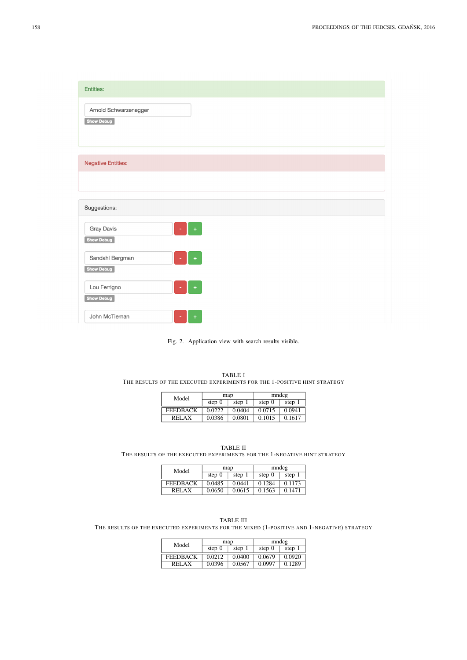| Arnold Schwarzenegger             |                                   |  |  |
|-----------------------------------|-----------------------------------|--|--|
| Show Debug                        |                                   |  |  |
|                                   |                                   |  |  |
|                                   |                                   |  |  |
| <b>Negative Entities:</b>         |                                   |  |  |
|                                   |                                   |  |  |
|                                   |                                   |  |  |
|                                   |                                   |  |  |
| Suggestions:                      |                                   |  |  |
| <b>Gray Davis</b>                 | $\overline{\phantom{a}}$<br>$\pm$ |  |  |
| Show Debug                        |                                   |  |  |
| Sandahl Bergman                   | $\pm$<br>$\sim$                   |  |  |
| <b>Show Debug</b><br>Lou Ferrigno |                                   |  |  |



|                                                                          | <b>TABLE I</b> |  |
|--------------------------------------------------------------------------|----------------|--|
| THE RESULTS OF THE EXECUTED EXPERIMENTS FOR THE 1-POSITIVE HINT STRATEGY |                |  |

| Model           | map      |        | mndcg    |        |
|-----------------|----------|--------|----------|--------|
|                 | step $0$ | step   | step $0$ | step 1 |
| <b>FEEDBACK</b> | 0.0222   | 0.0404 | 0.0715   | 0.0941 |
| <b>RELAX</b>    | 0.0386   | 0.0801 | 0.1015   | 0.1617 |

|                                                                          | TABLE II |  |
|--------------------------------------------------------------------------|----------|--|
| THE RESULTS OF THE EXECUTED EXPERIMENTS FOR THE 1-NEGATIVE HINT STRATEGY |          |  |

| Model           | map      |        | mndcg    |        |
|-----------------|----------|--------|----------|--------|
|                 | step $0$ | step   | step $0$ | step 1 |
| <b>FEEDBACK</b> | 0.0485   | 0.0441 | 0.1284   | 0.1173 |
| <b>RELAX</b>    | 0.0650   | 0.0615 | 0.1563   | 0.1471 |

| <b>TABLE III</b>                                                                           |  |
|--------------------------------------------------------------------------------------------|--|
| THE RESULTS OF THE EXECUTED EXPERIMENTS FOR THE MIXED (1-POSITIVE AND 1-NEGATIVE) STRATEGY |  |

| Model           | map      |        | mndcg    |        |
|-----------------|----------|--------|----------|--------|
|                 | step $0$ | step 1 | step $0$ | step 1 |
| <b>FEEDBACK</b> | 0.0212   | 0.0400 | 0.0679   | 0.0920 |
| <b>RELAX</b>    | 0.0396   | 0.0567 | 0.0997   | 0.1289 |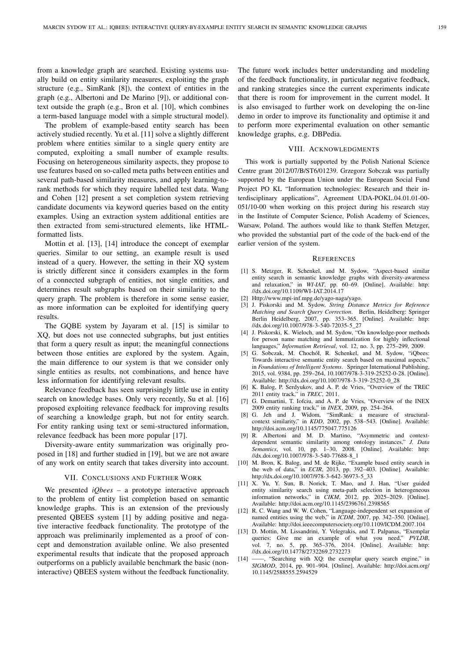from a knowledge graph are searched. Existing systems usually build on entity similarity measures, exploiting the graph structure (e.g., SimRank [8]), the context of entities in the graph (e.g., Albertoni and De Marino [9]), or additional context outside the graph (e.g., Bron et al. [10], which combines a term-based language model with a simple structural model).

The problem of example-based entity search has been actively studied recently. Yu et al. [11] solve a slightly different problem where entities similar to a single query entity are computed, exploiting a small number of example results. Focusing on heterogeneous similarity aspects, they propose to use features based on so-called meta paths between entities and several path-based similarity measures, and apply learning-torank methods for which they require labelled test data. Wang and Cohen [12] present a set completion system retrieving candidate documents via keyword queries based on the entity examples. Using an extraction system additional entities are then extracted from semi-structured elements, like HTMLformatted lists.

Mottin et al. [13], [14] introduce the concept of exemplar queries. Similar to our setting, an example result is used instead of a query. However, the setting in their XQ system is strictly different since it considers examples in the form of a connected subgraph of entities, not single entities, and determines result subgraphs based on their similarity to the query graph. The problem is therefore in some sense easier, as more information can be exploited for identifying query results.

The GQBE system by Jayaram et al. [15] is similar to XQ, but does not use connected subgraphs, but just entities that form a query result as input; the meaningful connections between those entities are explored by the system. Again, the main difference to our system is that we consider only single entities as results, not combinations, and hence have less information for identifying relevant results.

Relevance feedback has seen surprisingly little use in entity search on knowledge bases. Only very recently, Su et al. [16] proposed exploiting relevance feedback for improving results of searching a knowledge graph, but not for entity search. For entity ranking using text or semi-structured information, relevance feedback has been more popular [17].

Diversity-aware entity summarization was originally proposed in [18] and further studied in [19], but we are not aware of any work on entity search that takes diversity into account.

## VII. CONCLUSIONS AND FURTHER WORK

We presented *iQbees* – a prototype interactive approach to the problem of entity list completion based on semantic knowledge graphs. This is an extension of the previously presented QBEES system [1] by adding positive and negative interactive feedback functionality. The prototype of the approach was preliminarily implemented as a proof of concept and demonstration available online. We also presented experimental results that indicate that the proposed approach outperforms on a publicly available benchmark the basic (noninteractive) QBEES system without the feedback functionality.

The future work includes better understanding and modeling of the feedback functionality, in particular negative feedback, and ranking strategies since the current experiments indicate that there is room for improvement in the current model. It is also envisaged to further work on developing the on-line demo in order to improve its functionality and optimise it and to perform more experimental evaluation on other semantic knowledge graphs, e.g. DBPedia.

#### VIII. ACKNOWLEDGMENTS

This work is partially supported by the Polish National Science Centre grant 2012/07/B/ST6/01239. Grzegorz Sobczak was partially supported by the European Union under the European Social Fund Project PO KL "Information technologies: Research and their interdisciplinary applications", Agreement UDA-POKL.04.01.01-00- 051/10-00 when working on this project during his research stay in the Institute of Computer Science, Polish Academy of Sciences, Warsaw, Poland. The authors would like to thank Steffen Metzger, who provided the substantial part of the code of the back-end of the earlier version of the system.

#### **REFERENCES**

- [1] S. Metzger, R. Schenkel, and M. Sydow, "Aspect-based similar entity search in semantic knowledge graphs with diversity-awareness and relaxation," in *WI-IAT*, pp. 60–69. [Online]. Available: http: //dx.doi.org/10.1109/WI-IAT.2014.17
- [2] Http://www.mpi-inf.mpg.de/yago-naga/yago.
- [3] J. Piskorski and M. Sydow, *String Distance Metrics for Reference Matching and Search Query Correction*. Berlin, Heidelberg: Springer Berlin Heidelberg, 2007, pp. 353–365. [Online]. Available: http: //dx.doi.org/10.1007/978-3-540-72035-5\_27
- [4] J. Piskorski, K. Wieloch, and M. Sydow, "On knowledge-poor methods for person name matching and lemmatization for highly inflectional languages," *Information Retrieval*, vol. 12, no. 3, pp. 275–299, 2009.
- [5] G. Sobczak, M. Chochół, R. Schenkel, and M. Sydow, "iQbees: Towards interactive semantic entity search based on maximal aspects," in *Foundations of Intelligent Systems*. Springer International Publishing, 2015, vol. 9384, pp. 259–264, 10.1007/978-3-319-25252-0-28. [Online]. Available: http://dx.doi.org/10.1007/978-3-319-25252-0\_28
- [6] K. Balog, P. Serdyukov, and A. P. de Vries, "Overview of the TREC 2011 entity track," in *TREC*, 2011.
- [7] G. Demartini, T. Iofciu, and A. P. de Vries, "Overview of the INEX 2009 entity ranking track," in *INEX*, 2009, pp. 254–264.
- [8] G. Jeh and J. Widom, "SimRank: a measure of structuralcontext similarity," in *KDD*, 2002, pp. 538–543. [Online]. Available: http://doi.acm.org/10.1145/775047.775126
- [9] R. Albertoni and M. D. Martino, "Asymmetric and contextdependent semantic similarity among ontology instances," *J. Data Semantics*, vol. 10, pp. 1–30, 2008. [Online]. Available: http: //dx.doi.org/10.1007/978-3-540-77688-8\_1
- [10] M. Bron, K. Balog, and M. de Rijke, "Example based entity search in the web of data," in *ECIR*, 2013, pp. 392–403. [Online]. Available: http://dx.doi.org/10.1007/978-3-642-36973-5\_33
- [11] X. Yu, Y. Sun, B. Norick, T. Mao, and J. Han, "User guided entity similarity search using meta-path selection in heterogeneous information networks," in *CIKM*, 2012, pp. 2025–2029. [Online]. Available: http://doi.acm.org/10.1145/2396761.2398565
- [12] R. C. Wang and W. W. Cohen, "Language-independent set expansion of named entities using the web," in *ICDM*, 2007, pp. 342–350. [Online]. Available: http://doi.ieeecomputersociety.org/10.1109/ICDM.2007.104
- [13] D. Mottin, M. Lissandrini, Y. Velegrakis, and T. Palpanas, "Exemplar queries: Give me an example of what you need," *PVLDB*, no. 5, pp.  $365-376$ , 2014. [Online]. Available: http: //dx.doi.org/10.14778/2732269.2732273
- [14] ——, "Searching with XQ: the exemplar query search engine," in *SIGMOD*, 2014, pp. 901–904. [Online]. Available: http://doi.acm.org/ 10.1145/2588555.2594529